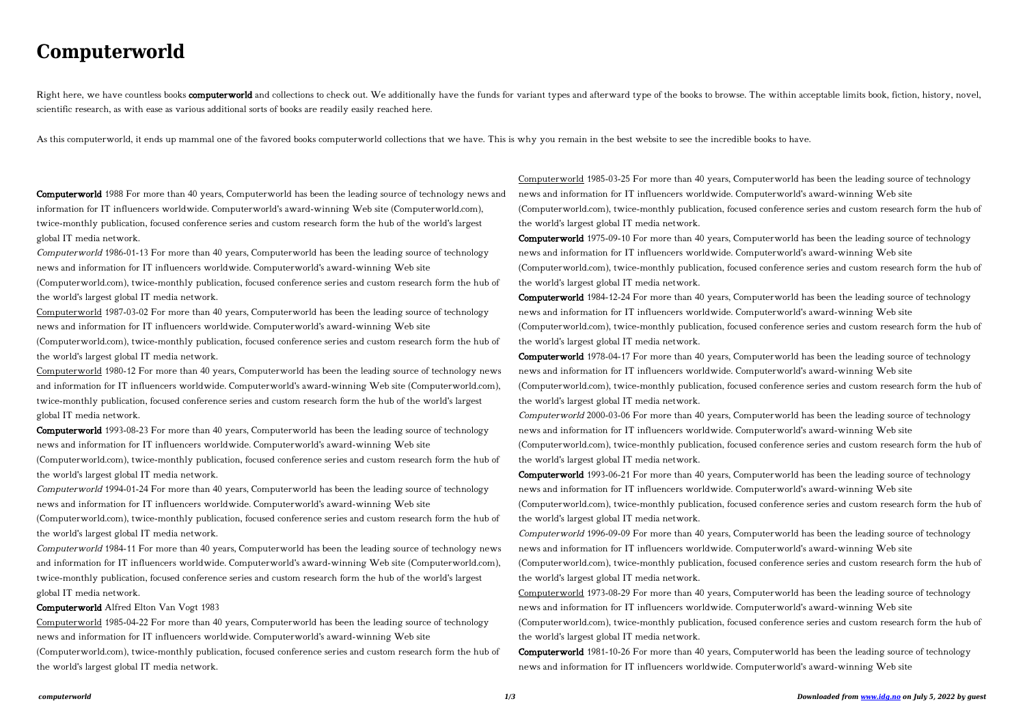## **Computerworld**

Right here, we have countless books computerworld and collections to check out. We additionally have the funds for variant types and afterward type of the books to browse. The within acceptable limits book, fiction, histor scientific research, as with ease as various additional sorts of books are readily easily reached here.

As this computerworld, it ends up mammal one of the favored books computerworld collections that we have. This is why you remain in the best website to see the incredible books to have.

Computerworld 1988 For more than 40 years, Computerworld has been the leading source of technology news and information for IT influencers worldwide. Computerworld's award-winning Web site (Computerworld.com), twice-monthly publication, focused conference series and custom research form the hub of the world's largest global IT media network.

Computerworld 1986-01-13 For more than 40 years, Computerworld has been the leading source of technology news and information for IT influencers worldwide. Computerworld's award-winning Web site

(Computerworld.com), twice-monthly publication, focused conference series and custom research form the hub of the world's largest global IT media network.

Computerworld 1987-03-02 For more than 40 years, Computerworld has been the leading source of technology news and information for IT influencers worldwide. Computerworld's award-winning Web site

(Computerworld.com), twice-monthly publication, focused conference series and custom research form the hub of the world's largest global IT media network.

Computerworld 1980-12 For more than 40 years, Computerworld has been the leading source of technology news and information for IT influencers worldwide. Computerworld's award-winning Web site (Computerworld.com), twice-monthly publication, focused conference series and custom research form the hub of the world's largest global IT media network.

Computerworld 1993-08-23 For more than 40 years, Computerworld has been the leading source of technology news and information for IT influencers worldwide. Computerworld's award-winning Web site

(Computerworld.com), twice-monthly publication, focused conference series and custom research form the hub of the world's largest global IT media network.

Computerworld 1994-01-24 For more than 40 years, Computerworld has been the leading source of technology news and information for IT influencers worldwide. Computerworld's award-winning Web site

(Computerworld.com), twice-monthly publication, focused conference series and custom research form the hub of the world's largest global IT media network.

Computerworld 1984-11 For more than 40 years, Computerworld has been the leading source of technology news and information for IT influencers worldwide. Computerworld's award-winning Web site (Computerworld.com), twice-monthly publication, focused conference series and custom research form the hub of the world's largest global IT media network.

## Computerworld Alfred Elton Van Vogt 1983

Computerworld 1985-04-22 For more than 40 years, Computerworld has been the leading source of technology news and information for IT influencers worldwide. Computerworld's award-winning Web site

(Computerworld.com), twice-monthly publication, focused conference series and custom research form the hub of the world's largest global IT media network.

Computerworld 1985-03-25 For more than 40 years, Computerworld has been the leading source of technology news and information for IT influencers worldwide. Computerworld's award-winning Web site (Computerworld.com), twice-monthly publication, focused conference series and custom research form the hub of the world's largest global IT media network.

Computerworld 1975-09-10 For more than 40 years, Computerworld has been the leading source of technology news and information for IT influencers worldwide. Computerworld's award-winning Web site (Computerworld.com), twice-monthly publication, focused conference series and custom research form the hub of the world's largest global IT media network.

Computerworld 1984-12-24 For more than 40 years, Computerworld has been the leading source of technology news and information for IT influencers worldwide. Computerworld's award-winning Web site (Computerworld.com), twice-monthly publication, focused conference series and custom research form the hub of the world's largest global IT media network.

Computerworld 1978-04-17 For more than 40 years, Computerworld has been the leading source of technology news and information for IT influencers worldwide. Computerworld's award-winning Web site (Computerworld.com), twice-monthly publication, focused conference series and custom research form the hub of the world's largest global IT media network.

Computerworld 2000-03-06 For more than 40 years, Computerworld has been the leading source of technology news and information for IT influencers worldwide. Computerworld's award-winning Web site (Computerworld.com), twice-monthly publication, focused conference series and custom research form the hub of the world's largest global IT media network.

Computerworld 1993-06-21 For more than 40 years, Computerworld has been the leading source of technology news and information for IT influencers worldwide. Computerworld's award-winning Web site (Computerworld.com), twice-monthly publication, focused conference series and custom research form the hub of the world's largest global IT media network.

Computerworld 1996-09-09 For more than 40 years, Computerworld has been the leading source of technology news and information for IT influencers worldwide. Computerworld's award-winning Web site (Computerworld.com), twice-monthly publication, focused conference series and custom research form the hub of the world's largest global IT media network.

Computerworld 1973-08-29 For more than 40 years, Computerworld has been the leading source of technology news and information for IT influencers worldwide. Computerworld's award-winning Web site (Computerworld.com), twice-monthly publication, focused conference series and custom research form the hub of the world's largest global IT media network.

Computerworld 1981-10-26 For more than 40 years, Computerworld has been the leading source of technology news and information for IT influencers worldwide. Computerworld's award-winning Web site

- 
- 
- 
- 
- 
- 
- 
- 
-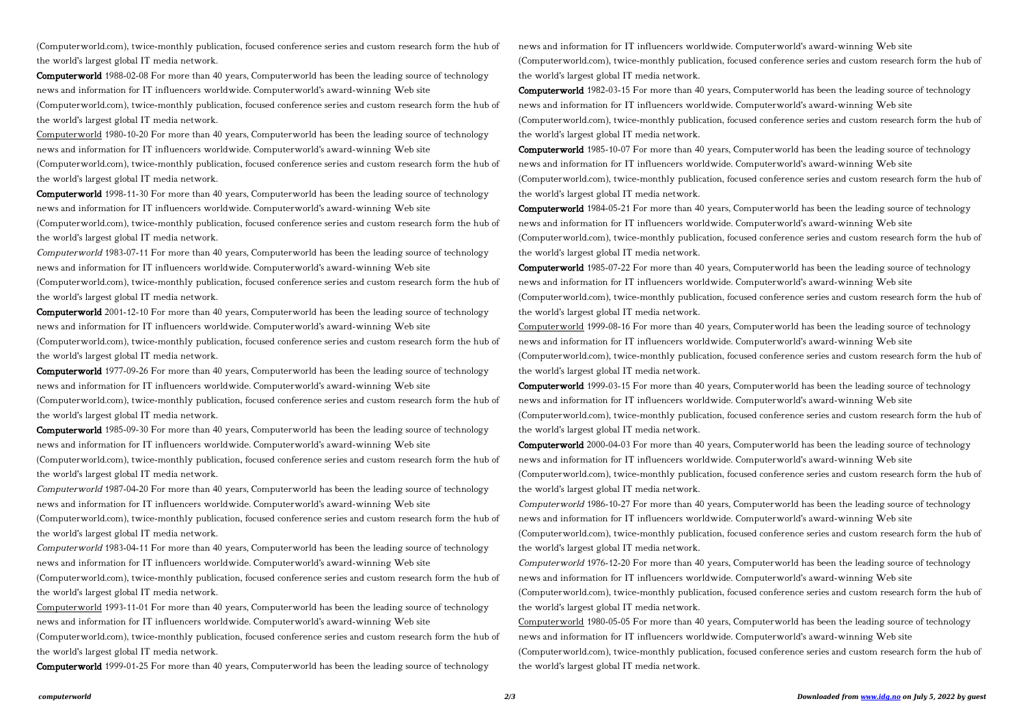(Computerworld.com), twice-monthly publication, focused conference series and custom research form the hub of the world's largest global IT media network.

Computerworld 1988-02-08 For more than 40 years, Computerworld has been the leading source of technology news and information for IT influencers worldwide. Computerworld's award-winning Web site

(Computerworld.com), twice-monthly publication, focused conference series and custom research form the hub of the world's largest global IT media network.

Computerworld 1980-10-20 For more than 40 years, Computerworld has been the leading source of technology news and information for IT influencers worldwide. Computerworld's award-winning Web site

(Computerworld.com), twice-monthly publication, focused conference series and custom research form the hub of the world's largest global IT media network.

Computerworld 1998-11-30 For more than 40 years, Computerworld has been the leading source of technology news and information for IT influencers worldwide. Computerworld's award-winning Web site

(Computerworld.com), twice-monthly publication, focused conference series and custom research form the hub of the world's largest global IT media network.

Computerworld 1983-07-11 For more than 40 years, Computerworld has been the leading source of technology news and information for IT influencers worldwide. Computerworld's award-winning Web site

(Computerworld.com), twice-monthly publication, focused conference series and custom research form the hub of the world's largest global IT media network.

Computerworld 2001-12-10 For more than 40 years, Computerworld has been the leading source of technology news and information for IT influencers worldwide. Computerworld's award-winning Web site

(Computerworld.com), twice-monthly publication, focused conference series and custom research form the hub of the world's largest global IT media network.

Computerworld 1977-09-26 For more than 40 years, Computerworld has been the leading source of technology news and information for IT influencers worldwide. Computerworld's award-winning Web site

(Computerworld.com), twice-monthly publication, focused conference series and custom research form the hub of the world's largest global IT media network.

Computerworld 1985-09-30 For more than 40 years, Computerworld has been the leading source of technology news and information for IT influencers worldwide. Computerworld's award-winning Web site

(Computerworld.com), twice-monthly publication, focused conference series and custom research form the hub of the world's largest global IT media network.

Computerworld 1987-04-20 For more than 40 years, Computerworld has been the leading source of technology news and information for IT influencers worldwide. Computerworld's award-winning Web site

(Computerworld.com), twice-monthly publication, focused conference series and custom research form the hub of the world's largest global IT media network.

Computerworld 1983-04-11 For more than 40 years, Computerworld has been the leading source of technology news and information for IT influencers worldwide. Computerworld's award-winning Web site

(Computerworld.com), twice-monthly publication, focused conference series and custom research form the hub of the world's largest global IT media network.

Computerworld 1993-11-01 For more than 40 years, Computerworld has been the leading source of technology news and information for IT influencers worldwide. Computerworld's award-winning Web site

(Computerworld.com), twice-monthly publication, focused conference series and custom research form the hub of the world's largest global IT media network.

Computerworld 1999-01-25 For more than 40 years, Computerworld has been the leading source of technology

news and information for IT influencers worldwide. Computerworld's award-winning Web site (Computerworld.com), twice-monthly publication, focused conference series and custom research form the hub of the world's largest global IT media network.

Computerworld 1982-03-15 For more than 40 years, Computerworld has been the leading source of technology news and information for IT influencers worldwide. Computerworld's award-winning Web site (Computerworld.com), twice-monthly publication, focused conference series and custom research form the hub of the world's largest global IT media network.

Computerworld 1985-10-07 For more than 40 years, Computerworld has been the leading source of technology news and information for IT influencers worldwide. Computerworld's award-winning Web site (Computerworld.com), twice-monthly publication, focused conference series and custom research form the hub of the world's largest global IT media network.

Computerworld 1984-05-21 For more than 40 years, Computerworld has been the leading source of technology news and information for IT influencers worldwide. Computerworld's award-winning Web site (Computerworld.com), twice-monthly publication, focused conference series and custom research form the hub of the world's largest global IT media network.

Computerworld 1985-07-22 For more than 40 years, Computerworld has been the leading source of technology news and information for IT influencers worldwide. Computerworld's award-winning Web site (Computerworld.com), twice-monthly publication, focused conference series and custom research form the hub of the world's largest global IT media network.

Computerworld 1999-08-16 For more than 40 years, Computerworld has been the leading source of technology news and information for IT influencers worldwide. Computerworld's award-winning Web site (Computerworld.com), twice-monthly publication, focused conference series and custom research form the hub of the world's largest global IT media network.

Computerworld 1999-03-15 For more than 40 years, Computerworld has been the leading source of technology news and information for IT influencers worldwide. Computerworld's award-winning Web site (Computerworld.com), twice-monthly publication, focused conference series and custom research form the hub of the world's largest global IT media network.

Computerworld 2000-04-03 For more than 40 years, Computerworld has been the leading source of technology news and information for IT influencers worldwide. Computerworld's award-winning Web site (Computerworld.com), twice-monthly publication, focused conference series and custom research form the hub of the world's largest global IT media network.

Computerworld 1986-10-27 For more than 40 years, Computerworld has been the leading source of technology news and information for IT influencers worldwide. Computerworld's award-winning Web site (Computerworld.com), twice-monthly publication, focused conference series and custom research form the hub of the world's largest global IT media network.

Computerworld 1976-12-20 For more than 40 years, Computerworld has been the leading source of technology news and information for IT influencers worldwide. Computerworld's award-winning Web site (Computerworld.com), twice-monthly publication, focused conference series and custom research form the hub of the world's largest global IT media network.

Computerworld 1980-05-05 For more than 40 years, Computerworld has been the leading source of technology news and information for IT influencers worldwide. Computerworld's award-winning Web site (Computerworld.com), twice-monthly publication, focused conference series and custom research form the hub of the world's largest global IT media network.